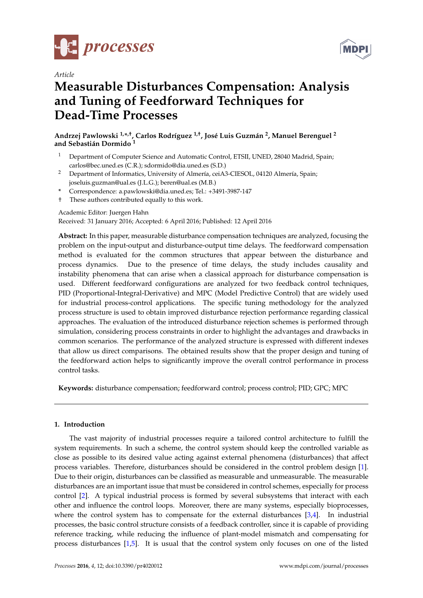

*Article*



# **Measurable Disturbances Compensation: Analysis and Tuning of Feedforward Techniques for Dead-Time Processes**

**Andrzej Pawlowski 1,\* ,†, Carlos Rodríguez 1,†, José Luis Guzmán <sup>2</sup> , Manuel Berenguel <sup>2</sup> and Sebastián Dormido <sup>1</sup>**

- <sup>1</sup> Department of Computer Science and Automatic Control, ETSII, UNED, 28040 Madrid, Spain; carlos@bec.uned.es (C.R.); sdormido@dia.uned.es (S.D.)
- <sup>2</sup> Department of Informatics, University of Almería, ceiA3-CIESOL, 04120 Almería, Spain; joseluis.guzman@ual.es (J.L.G.); beren@ual.es (M.B.)
- **\*** Correspondence: a.pawlowski@dia.uned.es; Tel.: +3491-3987-147
- † These authors contributed equally to this work.

# Academic Editor: Juergen Hahn

Received: 31 January 2016; Accepted: 6 April 2016; Published: 12 April 2016

**Abstract:** In this paper, measurable disturbance compensation techniques are analyzed, focusing the problem on the input-output and disturbance-output time delays. The feedforward compensation method is evaluated for the common structures that appear between the disturbance and process dynamics. Due to the presence of time delays, the study includes causality and instability phenomena that can arise when a classical approach for disturbance compensation is used. Different feedforward configurations are analyzed for two feedback control techniques, PID (Proportional-Integral-Derivative) and MPC (Model Predictive Control) that are widely used for industrial process-control applications. The specific tuning methodology for the analyzed process structure is used to obtain improved disturbance rejection performance regarding classical approaches. The evaluation of the introduced disturbance rejection schemes is performed through simulation, considering process constraints in order to highlight the advantages and drawbacks in common scenarios. The performance of the analyzed structure is expressed with different indexes that allow us direct comparisons. The obtained results show that the proper design and tuning of the feedforward action helps to significantly improve the overall control performance in process control tasks.

**Keywords:** disturbance compensation; feedforward control; process control; PID; GPC; MPC

# **1. Introduction**

The vast majority of industrial processes require a tailored control architecture to fulfill the system requirements. In such a scheme, the control system should keep the controlled variable as close as possible to its desired value acting against external phenomena (disturbances) that affect process variables. Therefore, disturbances should be considered in the control problem design [\[1\]](#page-18-0). Due to their origin, disturbances can be classified as measurable and unmeasurable. The measurable disturbances are an important issue that must be considered in control schemes, especially for process control [\[2\]](#page-18-1). A typical industrial process is formed by several subsystems that interact with each other and influence the control loops. Moreover, there are many systems, especially bioprocesses, where the control system has to compensate for the external disturbances [\[3,](#page-18-2)[4\]](#page-18-3). In industrial processes, the basic control structure consists of a feedback controller, since it is capable of providing reference tracking, while reducing the influence of plant-model mismatch and compensating for process disturbances [\[1,](#page-18-0)[5\]](#page-18-4). It is usual that the control system only focuses on one of the listed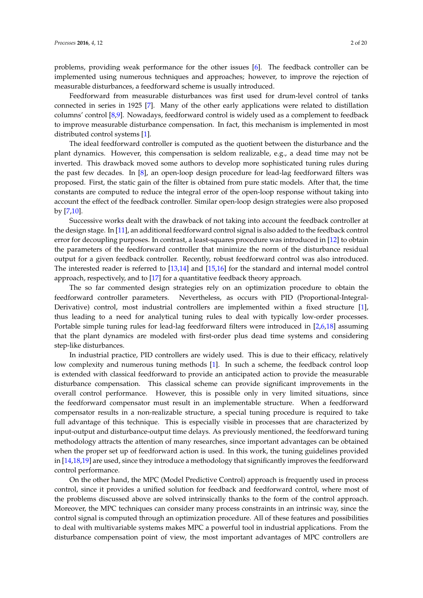Feedforward from measurable disturbances was first used for drum-level control of tanks connected in series in 1925 [\[7\]](#page-18-6). Many of the other early applications were related to distillation columns' control [\[8,](#page-18-7)[9\]](#page-18-8). Nowadays, feedforward control is widely used as a complement to feedback to improve measurable disturbance compensation. In fact, this mechanism is implemented in most distributed control systems [\[1\]](#page-18-0).

measurable disturbances, a feedforward scheme is usually introduced.

The ideal feedforward controller is computed as the quotient between the disturbance and the plant dynamics. However, this compensation is seldom realizable, e.g., a dead time may not be inverted. This drawback moved some authors to develop more sophisticated tuning rules during the past few decades. In [\[8\]](#page-18-7), an open-loop design procedure for lead-lag feedforward filters was proposed. First, the static gain of the filter is obtained from pure static models. After that, the time constants are computed to reduce the integral error of the open-loop response without taking into account the effect of the feedback controller. Similar open-loop design strategies were also proposed by [\[7](#page-18-6)[,10\]](#page-18-9).

Successive works dealt with the drawback of not taking into account the feedback controller at the design stage. In [\[11\]](#page-18-10), an additional feedforward control signal is also added to the feedback control error for decoupling purposes. In contrast, a least-squares procedure was introduced in [\[12\]](#page-18-11) to obtain the parameters of the feedforward controller that minimize the norm of the disturbance residual output for a given feedback controller. Recently, robust feedforward control was also introduced. The interested reader is referred to [\[13,](#page-18-12)[14\]](#page-18-13) and [\[15](#page-18-14)[,16\]](#page-19-0) for the standard and internal model control approach, respectively, and to [\[17\]](#page-19-1) for a quantitative feedback theory approach.

The so far commented design strategies rely on an optimization procedure to obtain the feedforward controller parameters. Nevertheless, as occurs with PID (Proportional-Integral-Derivative) control, most industrial controllers are implemented within a fixed structure [\[1\]](#page-18-0), thus leading to a need for analytical tuning rules to deal with typically low-order processes. Portable simple tuning rules for lead-lag feedforward filters were introduced in [\[2](#page-18-1)[,6](#page-18-5)[,18\]](#page-19-2) assuming that the plant dynamics are modeled with first-order plus dead time systems and considering step-like disturbances.

In industrial practice, PID controllers are widely used. This is due to their efficacy, relatively low complexity and numerous tuning methods [\[1\]](#page-18-0). In such a scheme, the feedback control loop is extended with classical feedforward to provide an anticipated action to provide the measurable disturbance compensation. This classical scheme can provide significant improvements in the overall control performance. However, this is possible only in very limited situations, since the feedforward compensator must result in an implementable structure. When a feedforward compensator results in a non-realizable structure, a special tuning procedure is required to take full advantage of this technique. This is especially visible in processes that are characterized by input-output and disturbance-output time delays. As previously mentioned, the feedforward tuning methodology attracts the attention of many researches, since important advantages can be obtained when the proper set up of feedforward action is used. In this work, the tuning guidelines provided in [\[14](#page-18-13)[,18](#page-19-2)[,19\]](#page-19-3) are used, since they introduce a methodology that significantly improves the feedforward control performance.

On the other hand, the MPC (Model Predictive Control) approach is frequently used in process control, since it provides a unified solution for feedback and feedforward control, where most of the problems discussed above are solved intrinsically thanks to the form of the control approach. Moreover, the MPC techniques can consider many process constraints in an intrinsic way, since the control signal is computed through an optimization procedure. All of these features and possibilities to deal with multivariable systems makes MPC a powerful tool in industrial applications. From the disturbance compensation point of view, the most important advantages of MPC controllers are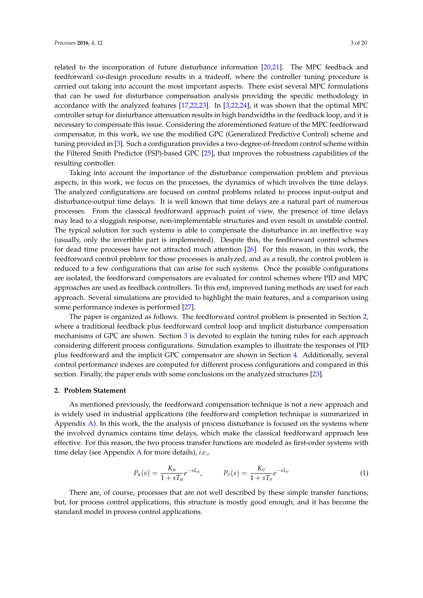related to the incorporation of future disturbance information [\[20,](#page-19-4)[21\]](#page-19-5). The MPC feedback and feedforward co-design procedure results in a tradeoff, where the controller tuning procedure is carried out taking into account the most important aspects. There exist several MPC formulations that can be used for disturbance compensation analysis providing the specific methodology in accordance with the analyzed features [\[17,](#page-19-1)[22,](#page-19-6)[23\]](#page-19-7). In [\[3,](#page-18-2)[22,](#page-19-6)[24\]](#page-19-8), it was shown that the optimal MPC controller setup for disturbance attenuation results in high bandwidths in the feedback loop, and it is necessary to compensate this issue. Considering the aforementioned feature of the MPC feedforward compensator, in this work, we use the modified GPC (Generalized Predictive Control) scheme and tuning provided in [\[3\]](#page-18-2). Such a configuration provides a two-degree-of-freedom control scheme within the Filtered Smith Predictor (FSP)-based GPC [\[25\]](#page-19-9), that improves the robustness capabilities of the resulting controller.

Taking into account the importance of the disturbance compensation problem and previous aspects, in this work, we focus on the processes, the dynamics of which involves the time delays. The analyzed configurations are focused on control problems related to process input-output and disturbance-output time delays. It is well known that time delays are a natural part of numerous processes. From the classical feedforward approach point of view, the presence of time delays may lead to a sluggish response, non-implementable structures and even result in unstable control. The typical solution for such systems is able to compensate the disturbance in an ineffective way (usually, only the invertible part is implemented). Despite this, the feedforward control schemes for dead time processes have not attracted much attention [\[26\]](#page-19-10). For this reason, in this work, the feedforward control problem for those processes is analyzed, and as a result, the control problem is reduced to a few configurations that can arise for such systems. Once the possible configurations are isolated, the feedforward compensators are evaluated for control schemes where PID and MPC approaches are used as feedback controllers. To this end, improved tuning methods are used for each approach. Several simulations are provided to highlight the main features, and a comparison using some performance indexes is performed [\[27\]](#page-19-11).

The paper is organized as follows. The feedforward control problem is presented in Section [2,](#page-2-0) where a traditional feedback plus feedforward control loop and implicit disturbance compensation mechanisms of GPC are shown. Section [3](#page-6-0) is devoted to explain the tuning rules for each approach considering different process configurations. Simulation examples to illustrate the responses of PID plus feedforward and the implicit GPC compensator are shown in Section [4.](#page-10-0) Additionally, several control performance indexes are computed for different process configurations and compared in this section. Finally, the paper ends with some conclusions on the analyzed structures [\[23\]](#page-19-7).

#### <span id="page-2-0"></span>**2. Problem Statement**

As mentioned previously, the feedforward compensation technique is not a new approach and is widely used in industrial applications (the feedforward completion technique is summarized in Appendix [A\)](#page-16-0). In this work, the the analysis of process disturbance is focused on the systems where the involved dynamics contains time delays, which make the classical feedforward approach less effective. For this reason, the two process transfer functions are modeled as first-order systems with time delay (see Appendix [A](#page-16-0) for more details), *i.e.*,

<span id="page-2-1"></span>
$$
P_u(s) = \frac{K_u}{1 + sT_u}e^{-sL_u}, \qquad P_v(s) = \frac{K_v}{1 + sT_v}e^{-sL_v}
$$
 (1)

There are, of course, processes that are not well described by these simple transfer functions; but, for process control applications, this structure is mostly good enough, and it has become the standard model in process control applications.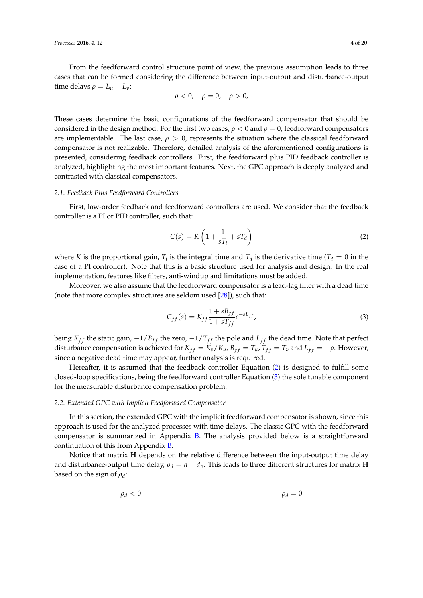From the feedforward control structure point of view, the previous assumption leads to three cases that can be formed considering the difference between input-output and disturbance-output time delays  $\rho = L_u - L_v$ :

$$
\rho<0, \quad \rho=0, \quad \rho>0,
$$

These cases determine the basic configurations of the feedforward compensator that should be considered in the design method. For the first two cases,  $\rho < 0$  and  $\rho = 0$ , feedforward compensators are implementable. The last case,  $\rho > 0$ , represents the situation where the classical feedforward compensator is not realizable. Therefore, detailed analysis of the aforementioned configurations is presented, considering feedback controllers. First, the feedforward plus PID feedback controller is analyzed, highlighting the most important features. Next, the GPC approach is deeply analyzed and contrasted with classical compensators.

### *2.1. Feedback Plus Feedforward Controllers*

First, low-order feedback and feedforward controllers are used. We consider that the feedback controller is a PI or PID controller, such that:

<span id="page-3-0"></span>
$$
C(s) = K\left(1 + \frac{1}{sT_i} + sT_d\right)
$$
 (2)

where *K* is the proportional gain,  $T_i$  is the integral time and  $T_d$  is the derivative time ( $T_d = 0$  in the case of a PI controller). Note that this is a basic structure used for analysis and design. In the real implementation, features like filters, anti-windup and limitations must be added.

Moreover, we also assume that the feedforward compensator is a lead-lag filter with a dead time (note that more complex structures are seldom used [\[28\]](#page-19-12)), such that:

<span id="page-3-1"></span>
$$
C_{ff}(s) = K_{ff} \frac{1 + sB_{ff}}{1 + sT_{ff}} e^{-sL_{ff}},
$$
\n(3)

being  $K_{ff}$  the static gain,  $-1/B_{ff}$  the zero,  $-1/T_{ff}$  the pole and  $L_{ff}$  the dead time. Note that perfect disturbance compensation is achieved for  $K_{ff} = K_v/K_u$ ,  $B_{ff} = T_u$ ,  $T_{ff} = T_v$  and  $L_{ff} = -\rho$ . However, since a negative dead time may appear, further analysis is required.

Hereafter, it is assumed that the feedback controller Equation [\(2\)](#page-3-0) is designed to fulfill some closed-loop specifications, being the feedforward controller Equation [\(3\)](#page-3-1) the sole tunable component for the measurable disturbance compensation problem.

## <span id="page-3-2"></span>*2.2. Extended GPC with Implicit Feedforward Compensator*

In this section, the extended GPC with the implicit feedforward compensator is shown, since this approach is used for the analyzed processes with time delays. The classic GPC with the feedforward compensator is summarized in Appendix [B.](#page-17-0) The analysis provided below is a straightforward continuation of this from Appendix [B.](#page-17-0)

Notice that matrix **H** depends on the relative difference between the input-output time delay and disturbance-output time delay,  $\rho_d = d - d_v$ . This leads to three different structures for matrix **H** based on the sign of *ρ<sup>d</sup>* :

$$
\rho_d < 0 \qquad \qquad \rho_d = 0
$$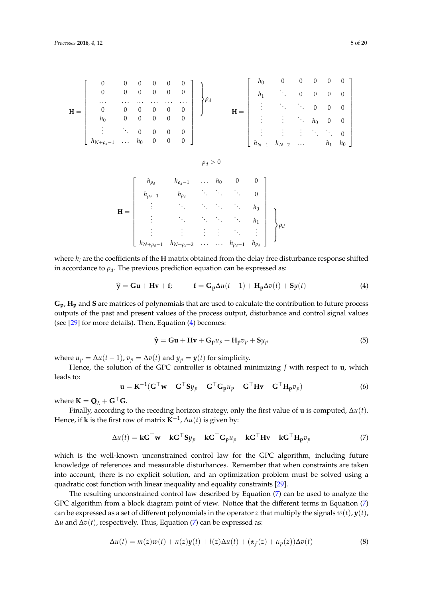$$
\mathbf{H} = \left[\begin{array}{ccccc} 0 & 0 & 0 & 0 & 0 & 0 \\ 0 & 0 & 0 & 0 & 0 & 0 \\ \cdots & \cdots & \cdots & \cdots & \cdots & \cdots \\ 0 & 0 & 0 & 0 & 0 & 0 \\ h_0 & 0 & 0 & 0 & 0 & 0 \\ \vdots & \ddots & 0 & 0 & 0 & 0 \\ h_{N+\rho_d-1} & \cdots & h_0 & 0 & 0 & 0 \end{array}\right] \begin{matrix} h_0 & 0 & 0 & 0 & 0 & 0 \\ h_1 & \ddots & 0 & 0 & 0 & 0 \\ \vdots & \vdots & \ddots & \ddots & 0 & 0 \\ h_N & \vdots & \vdots & \ddots & \ddots & 0 \\ h_{N-1} & h_{N-2} & \cdots & h_1 & h_0 \end{matrix}
$$

$$
\rho_d>0
$$

|  | $h_{\rho_d}$                      | $h_{\rho_d-1}$ | $\cdots$ | $h_0$    |                |              |                                                                                                                                                 |  |
|--|-----------------------------------|----------------|----------|----------|----------------|--------------|-------------------------------------------------------------------------------------------------------------------------------------------------|--|
|  | $h_{\rho_d+1}$                    | $h_{\rho_d}$   |          |          |                |              |                                                                                                                                                 |  |
|  |                                   |                |          |          |                |              | $\begin{array}{ccc} \vdots & \vdots & \ddots & h_1 \\ \vdots & \vdots & \ddots & \vdots \end{array} \begin{array}{c} h_1 \\ \rho_a \end{array}$ |  |
|  |                                   |                |          |          |                |              |                                                                                                                                                 |  |
|  |                                   |                |          |          |                |              |                                                                                                                                                 |  |
|  | $h_{N+\rho_d-1}$ $h_{N+\rho_d-2}$ |                |          | $\cdots$ | $h_{\rho_d-1}$ | $h_{\rho_d}$ |                                                                                                                                                 |  |

where  $h_i$  are the coefficients of the **H** matrix obtained from the delay free disturbance response shifted in accordance to  $\rho_d$ . The previous prediction equation can be expressed as:

<span id="page-4-0"></span>
$$
\hat{\mathbf{y}} = \mathbf{G}\mathbf{u} + \mathbf{H}\mathbf{v} + \mathbf{f}; \qquad \mathbf{f} = \mathbf{G}_{\mathbf{p}}\Delta u(t-1) + \mathbf{H}_{\mathbf{p}}\Delta v(t) + \mathbf{S}y(t)
$$
\n(4)

**Gp**, **Hp** and **S** are matrices of polynomials that are used to calculate the contribution to future process outputs of the past and present values of the process output, disturbance and control signal values (see [\[29\]](#page-19-13) for more details). Then, Equation [\(4\)](#page-4-0) becomes:

$$
\hat{\mathbf{y}} = \mathbf{G}\mathbf{u} + \mathbf{H}\mathbf{v} + \mathbf{G}_{\mathbf{p}}u_p + \mathbf{H}_{\mathbf{p}}v_p + \mathbf{S}y_p \tag{5}
$$

where  $u_p = \Delta u(t-1)$ ,  $v_p = \Delta v(t)$  and  $y_p = y(t)$  for simplicity.

Hence, the solution of the GPC controller is obtained minimizing *J* with respect to **u**, which leads to:

<span id="page-4-2"></span>
$$
\mathbf{u} = \mathbf{K}^{-1} (\mathbf{G}^{\top} \mathbf{w} - \mathbf{G}^{\top} \mathbf{S} y_p - \mathbf{G}^{\top} \mathbf{G}_p u_p - \mathbf{G}^{\top} \mathbf{H} \mathbf{v} - \mathbf{G}^{\top} \mathbf{H}_p v_p)
$$
(6)

where  $\mathbf{K} = \mathbf{Q}_{\lambda} + \mathbf{G}^{\top} \mathbf{G}$ .

Finally, according to the receding horizon strategy, only the first value of **u** is computed, ∆*u*(*t*). Hence, if **k** is the first row of matrix **K**−<sup>1</sup> , ∆*u*(*t*) is given by:

<span id="page-4-1"></span>
$$
\Delta u(t) = \mathbf{k} \mathbf{G}^{\top} \mathbf{w} - \mathbf{k} \mathbf{G}^{\top} \mathbf{S} y_p - \mathbf{k} \mathbf{G}^{\top} \mathbf{G}_p u_p - \mathbf{k} \mathbf{G}^{\top} \mathbf{H} \mathbf{v} - \mathbf{k} \mathbf{G}^{\top} \mathbf{H}_p v_p \tag{7}
$$

which is the well-known unconstrained control law for the GPC algorithm, including future knowledge of references and measurable disturbances. Remember that when constraints are taken into account, there is no explicit solution, and an optimization problem must be solved using a quadratic cost function with linear inequality and equality constraints [\[29\]](#page-19-13).

The resulting unconstrained control law described by Equation [\(7\)](#page-4-1) can be used to analyze the GPC algorithm from a block diagram point of view. Notice that the different terms in Equation [\(7\)](#page-4-1) can be expressed as a set of different polynomials in the operator *z* that multiply the signals  $w(t)$ ,  $y(t)$ , ∆*u* and ∆*v*(*t*), respectively. Thus, Equation [\(7\)](#page-4-1) can be expressed as:

$$
\Delta u(t) = m(z)w(t) + n(z)y(t) + l(z)\Delta u(t) + (\alpha_f(z) + \alpha_p(z))\Delta v(t)
$$
\n(8)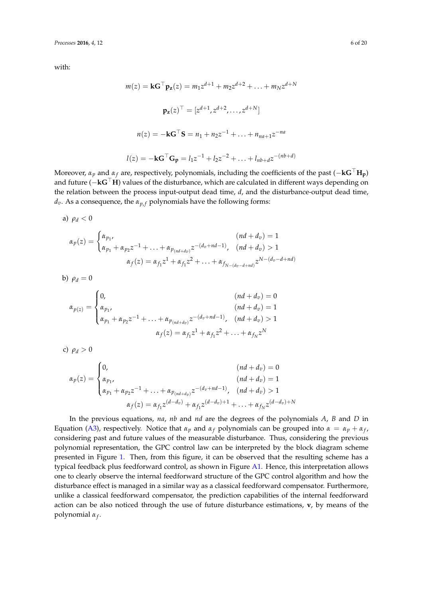with:

$$
m(z) = kG^{\top}p_{z}(z) = m_{1}z^{d+1} + m_{2}z^{d+2} + \dots + m_{N}z^{d+N}
$$

$$
p_{z}(z)^{\top} = [z^{d+1}, z^{d+2}, \dots, z^{d+N}]
$$

$$
n(z) = -kG^{\top}S = n_{1} + n_{2}z^{-1} + \dots + n_{na+1}z^{-na}
$$

$$
l(z) = -kG^{\top}G_{p} = l_{1}z^{-1} + l_{2}z^{-2} + \dots + l_{nb+d}z^{-(nb+d)}
$$

Moreover,  $\alpha_p$  and  $\alpha_f$  are, respectively, polynomials, including the coefficients of the past ( $-\mathbf{kG}^{\top}\mathbf{H_p}$ ) and future (−**kG**>**H**) values of the disturbance, which are calculated in different ways depending on the relation between the process input-output dead time, *d*, and the disturbance-output dead time, *d*<sup>*v*</sup>. As a consequence, the *α*<sub>*p*, *f*</sub> polynomials have the following forms:

a) 
$$
\rho_d < 0
$$

$$
\alpha_p(z) = \begin{cases} \alpha_{p_1}, & (nd + d_v) = 1 \\ \alpha_{p_1} + \alpha_{p_2} z^{-1} + \ldots + \alpha_{p_{(nd + d_v)}} z^{-(d_v + nd - 1)}, & (nd + d_v) > 1 \\ \alpha_f(z) = \alpha_{f_1} z^1 + \alpha_{f_1} z^2 + \ldots + \alpha_{f_{N - (d_v - d + nd)}} z^{N - (d_v - d + nd)} \end{cases}
$$

b)  $\rho_d = 0$ 

$$
\alpha_{p(z)} = \begin{cases}\n0, & (nd + d_v) = 0 \\
\alpha_{p_1}, & (nd + d_v) = 1 \\
\alpha_{p_1} + \alpha_{p_2}z^{-1} + \dots + \alpha_{p_{(nd + d_v)}}z^{-(d_v + nd - 1)}, & (nd + d_v) > 1 \\
\alpha_f(z) = \alpha_{f_1}z^1 + \alpha_{f_1}z^2 + \dots + \alpha_{f_N}z^N\n\end{cases}
$$

c)  $\rho_d > 0$ 

$$
\alpha_p(z) = \begin{cases}\n0, & (nd + d_v) = 0 \\
\alpha_{p_1}, & (nd + d_v) = 1 \\
\alpha_{p_1} + \alpha_{p_2}z^{-1} + \ldots + \alpha_{p_{(nd + d_v)}}z^{-(d_v + nd - 1)}, & (nd + d_v) > 1 \\
\alpha_f(z) = \alpha_{f_1}z^{(d - d_v)} + \alpha_{f_1}z^{(d - d_v) + 1} + \ldots + \alpha_{f_N}z^{(d - d_v) + N}\n\end{cases}
$$

In the previous equations, *na*, *nb* and *nd* are the degrees of the polynomials *A*, *B* and *D* in Equation [\(A3\)](#page-17-1), respectively. Notice that  $\alpha_p$  and  $\alpha_f$  polynomials can be grouped into  $\alpha = \alpha_p + \alpha_f$ , considering past and future values of the measurable disturbance. Thus, considering the previous polynomial representation, the GPC control law can be interpreted by the block diagram scheme presented in Figure [1.](#page-6-1) Then, from this figure, it can be observed that the resulting scheme has a typical feedback plus feedforward control, as shown in Figure [A1.](#page-6-1) Hence, this interpretation allows one to clearly observe the internal feedforward structure of the GPC control algorithm and how the disturbance effect is managed in a similar way as a classical feedforward compensator. Furthermore, unlike a classical feedforward compensator, the prediction capabilities of the internal feedforward action can be also noticed through the use of future disturbance estimations, **v**, by means of the polynomial *α<sup>f</sup>* .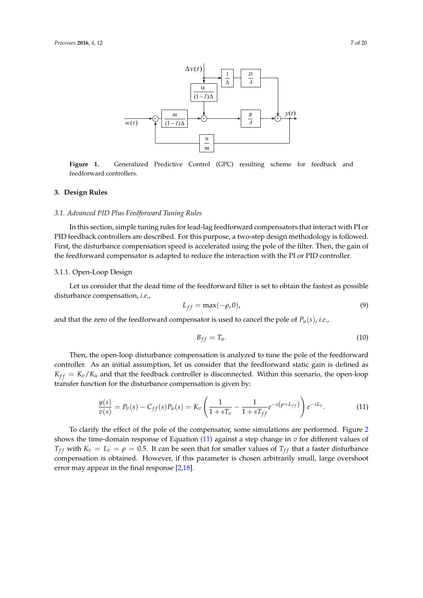<span id="page-6-1"></span>

**Figure 1.** Generalized Predictive Control (GPC) resulting scheme for feedback and feedforward controllers.

## <span id="page-6-0"></span>**3. Design Rules**

# *3.1. Advanced PID Plus Feedforward Tuning Rules*

In this section, simple tuning rules for lead-lag feedforward compensators that interact with PI or PID feedback controllers are described. For this purpose, a two-step design methodology is followed. First, the disturbance compensation speed is accelerated using the pole of the filter. Then, the gain of the feedforward compensator is adapted to reduce the interaction with the PI or PID controller.

### 3.1.1. Open-Loop Design

Let us consider that the dead time of the feedforward filter is set to obtain the fastest as possible disturbance compensation, *i.e.*,

$$
L_{ff} = \max(-\rho, 0),\tag{9}
$$

and that the zero of the feedforward compensator is used to cancel the pole of  $P_u(s)$ , *i.e.*,

$$
B_{ff} = T_u. \tag{10}
$$

Then, the open-loop disturbance compensation is analyzed to tune the pole of the feedforward controller. As an initial assumption, let us consider that the feedforward static gain is defined as  $K_{ff} = K_v/K_u$  and that the feedback controller is disconnected. Within this scenario, the open-loop transfer function for the disturbance compensation is given by:

<span id="page-6-2"></span>
$$
\frac{y(s)}{v(s)} = P_v(s) - C_{ff}(s)P_u(s) = K_v \left(\frac{1}{1+sT_v} - \frac{1}{1+sT_{ff}}e^{-s(\rho + L_{ff})}\right)e^{-sL_v}.\tag{11}
$$

To clarify the effect of the pole of the compensator, some simulations are performed. Figure [2](#page-7-0) shows the time-domain response of Equation [\(11\)](#page-6-2) against a step change in *v* for different values of *T*<sub>*ff*</sub> with  $K_v = L_v = \rho = 0.5$ . It can be seen that for smaller values of  $T_{ff}$  that a faster disturbance compensation is obtained. However, if this parameter is chosen arbitrarily small, large overshoot error may appear in the final response [\[2](#page-18-1)[,18\]](#page-19-2).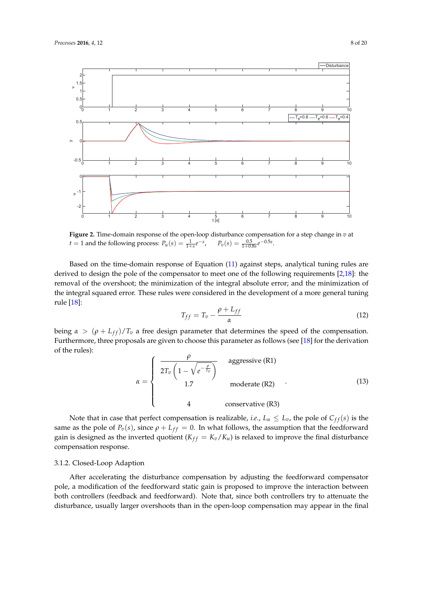<span id="page-7-0"></span>

**Figure 2.** Time-domain response of the open-loop disturbance compensation for a step change in *v* at  $t = 1$  and the following process:  $P_u(s) = \frac{1}{1+s}e^{-s}$ ,  $P_v(s) = \frac{0.5}{1+0.8s}e^{-0.5s}$ .

Based on the time-domain response of Equation [\(11\)](#page-6-2) against steps, analytical tuning rules are derived to design the pole of the compensator to meet one of the following requirements [\[2](#page-18-1)[,18\]](#page-19-2): the removal of the overshoot; the minimization of the integral absolute error; and the minimization of the integral squared error. These rules were considered in the development of a more general tuning rule [\[18\]](#page-19-2):

$$
T_{ff} = T_v - \frac{\rho + L_{ff}}{\alpha} \tag{12}
$$

being  $\alpha > (\rho + L_{ff})/T_v$  a free design parameter that determines the speed of the compensation. Furthermore, three proposals are given to choose this parameter as follows (see [\[18\]](#page-19-2) for the derivation of the rules):

$$
\alpha = \begin{cases}\n\frac{\rho}{2T_v \left(1 - \sqrt{e^{-\frac{\rho}{T_v}}}\right)} & \text{aggressive (R1)} \\
1.7 & \text{moderate (R2)} \\
4 & \text{conservative (R3)}\n\end{cases}
$$
\n(13)

Note that in case that perfect compensation is realizable, *i.e.*,  $L_u \leq L_v$ , the pole of  $C_{ff}(s)$  is the same as the pole of  $P_v(s)$ , since  $\rho + L_{ff} = 0$ . In what follows, the assumption that the feedforward gain is designed as the inverted quotient ( $K_{ff} = K_v/K_u$ ) is relaxed to improve the final disturbance compensation response.

# 3.1.2. Closed-Loop Adaption

After accelerating the disturbance compensation by adjusting the feedforward compensator pole, a modification of the feedforward static gain is proposed to improve the interaction between both controllers (feedback and feedforward). Note that, since both controllers try to attenuate the disturbance, usually larger overshoots than in the open-loop compensation may appear in the final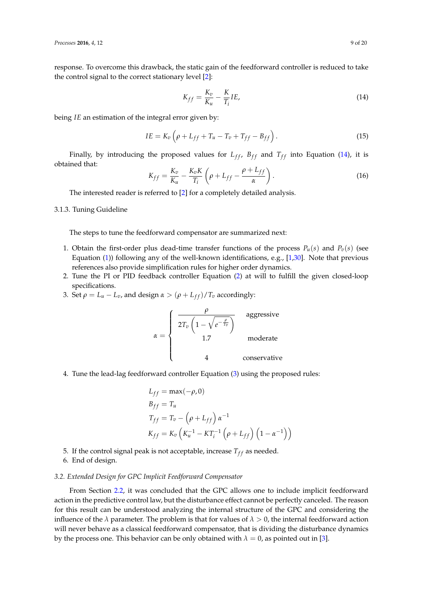response. To overcome this drawback, the static gain of the feedforward controller is reduced to take the control signal to the correct stationary level [\[2\]](#page-18-1):

<span id="page-8-0"></span>
$$
K_{ff} = \frac{K_v}{K_u} - \frac{K}{T_i} I E,\tag{14}
$$

being *IE* an estimation of the integral error given by:

$$
IE = K_v \left( \rho + L_{ff} + T_u - T_v + T_{ff} - B_{ff} \right). \tag{15}
$$

Finally, by introducing the proposed values for  $L_{ff}$ ,  $B_{ff}$  and  $T_{ff}$  into Equation [\(14\)](#page-8-0), it is obtained that:

$$
K_{ff} = \frac{K_v}{K_u} - \frac{K_v K}{T_i} \left( \rho + L_{ff} - \frac{\rho + L_{ff}}{\alpha} \right). \tag{16}
$$

The interested reader is referred to [\[2\]](#page-18-1) for a completely detailed analysis.

<span id="page-8-1"></span>3.1.3. Tuning Guideline

The steps to tune the feedforward compensator are summarized next:

- 1. Obtain the first-order plus dead-time transfer functions of the process  $P_u(s)$  and  $P_v(s)$  (see Equation [\(1\)](#page-2-1)) following any of the well-known identifications, e.g., [\[1,](#page-18-0)[30\]](#page-19-14). Note that previous references also provide simplification rules for higher order dynamics.
- 2. Tune the PI or PID feedback controller Equation [\(2\)](#page-3-0) at will to fulfill the given closed-loop specifications.
- 3. Set  $\rho = L_u L_v$ , and design  $\alpha > (\rho + L_{ff})/T_v$  accordingly:

$$
\alpha = \begin{cases}\n\frac{\rho}{2T_v \left(1 - \sqrt{e^{-\frac{\rho}{T_v}}}\right)} & \text{aggressive} \\
1.7 & \text{moderate} \\
4 & \text{conservative}\n\end{cases}
$$

4. Tune the lead-lag feedforward controller Equation [\(3\)](#page-3-1) using the proposed rules:

$$
L_{ff} = \max(-\rho, 0)
$$
  
\n
$$
B_{ff} = T_u
$$
  
\n
$$
T_{ff} = T_v - (\rho + L_{ff}) \alpha^{-1}
$$
  
\n
$$
K_{ff} = K_v \left( K_u^{-1} - KT_i^{-1} (\rho + L_{ff}) (1 - \alpha^{-1}) \right)
$$

- 5. If the control signal peak is not acceptable, increase  $T_{ff}$  as needed.
- 6. End of design.

## <span id="page-8-2"></span>*3.2. Extended Design for GPC Implicit Feedforward Compensator*

From Section [2.2,](#page-3-2) it was concluded that the GPC allows one to include implicit feedforward action in the predictive control law, but the disturbance effect cannot be perfectly canceled. The reason for this result can be understood analyzing the internal structure of the GPC and considering the influence of the  $\lambda$  parameter. The problem is that for values of  $\lambda > 0$ , the internal feedforward action will never behave as a classical feedforward compensator, that is dividing the disturbance dynamics by the process one. This behavior can be only obtained with  $\lambda = 0$ , as pointed out in [\[3\]](#page-18-2).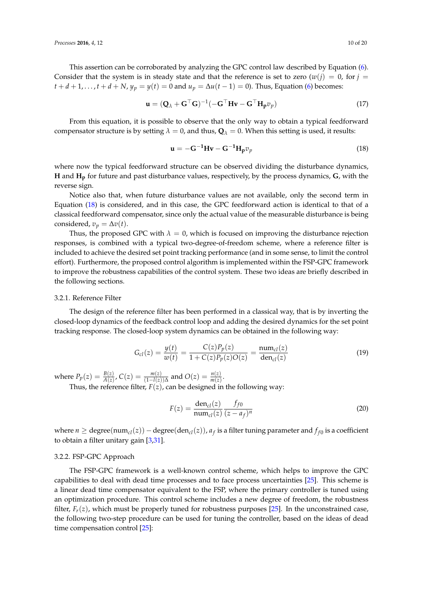This assertion can be corroborated by analyzing the GPC control law described by Equation [\(6\)](#page-4-2). Consider that the system is in steady state and that the reference is set to zero  $(w(i) = 0$ , for  $j = 1$  $t + d + 1, \ldots, t + d + N$ ,  $y_p = y(t) = 0$  and  $u_p = \Delta u(t-1) = 0$ ). Thus, Equation [\(6\)](#page-4-2) becomes:

$$
\mathbf{u} = (\mathbf{Q}_{\lambda} + \mathbf{G}^{\top}\mathbf{G})^{-1}(-\mathbf{G}^{\top}\mathbf{H}\mathbf{v} - \mathbf{G}^{\top}\mathbf{H}_{p}v_{p})
$$
(17)

From this equation, it is possible to observe that the only way to obtain a typical feedforward compensator structure is by setting  $\lambda = 0$ , and thus,  $\mathbf{Q}_{\lambda} = 0$ . When this setting is used, it results:

<span id="page-9-0"></span>
$$
\mathbf{u} = -\mathbf{G}^{-1}\mathbf{H}\mathbf{v} - \mathbf{G}^{-1}\mathbf{H}_{\mathbf{p}}v_{p}
$$
 (18)

where now the typical feedforward structure can be observed dividing the disturbance dynamics, **H** and **Hp** for future and past disturbance values, respectively, by the process dynamics, **G**, with the reverse sign.

Notice also that, when future disturbance values are not available, only the second term in Equation [\(18\)](#page-9-0) is considered, and in this case, the GPC feedforward action is identical to that of a classical feedforward compensator, since only the actual value of the measurable disturbance is being considered,  $v_p = \Delta v(t)$ .

Thus, the proposed GPC with  $\lambda = 0$ , which is focused on improving the disturbance rejection responses, is combined with a typical two-degree-of-freedom scheme, where a reference filter is included to achieve the desired set point tracking performance (and in some sense, to limit the control effort). Furthermore, the proposed control algorithm is implemented within the FSP-GPC framework to improve the robustness capabilities of the control system. These two ideas are briefly described in the following sections.

## 3.2.1. Reference Filter

The design of the reference filter has been performed in a classical way, that is by inverting the closed-loop dynamics of the feedback control loop and adding the desired dynamics for the set point tracking response. The closed-loop system dynamics can be obtained in the following way:

$$
G_{cl}(z) = \frac{y(t)}{w(t)} = \frac{C(z)P_p(z)}{1 + C(z)P_p(z)O(z)} = \frac{\operatorname{num}_{cl}(z)}{\operatorname{den}_{cl}(z)}
$$
(19)

where  $P_p(z) = \frac{B(z)}{A(z)}$ ,  $C(z) = \frac{m(z)}{(1 - l(z))\Delta}$  and  $O(z) = \frac{n(z)}{m(z)}$ .

Thus, the reference filter,  $F(z)$ , can be designed in the following way:

$$
F(z) = \frac{\text{den}_{cl}(z)}{\text{num}_{cl}(z)} \frac{f_{f0}}{(z - a_f)^n}
$$
 (20)

where  $n \geq$  degree $(\text{num}_{cl}(z))$  – degree $(\text{den}_{cl}(z))$ ,  $a_f$  is a filter tuning parameter and  $f_{f0}$  is a coefficient to obtain a filter unitary gain [\[3](#page-18-2)[,31\]](#page-19-15).

## 3.2.2. FSP-GPC Approach

The FSP-GPC framework is a well-known control scheme, which helps to improve the GPC capabilities to deal with dead time processes and to face process uncertainties [\[25\]](#page-19-9). This scheme is a linear dead time compensator equivalent to the FSP, where the primary controller is tuned using an optimization procedure. This control scheme includes a new degree of freedom, the robustness filter,  $F_r(z)$ , which must be properly tuned for robustness purposes [\[25\]](#page-19-9). In the unconstrained case, the following two-step procedure can be used for tuning the controller, based on the ideas of dead time compensation control [\[25\]](#page-19-9):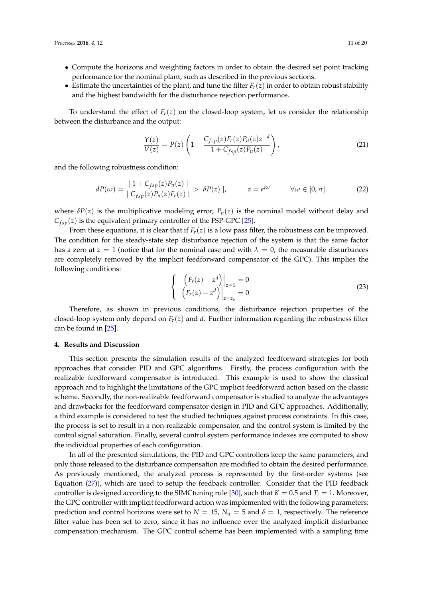- Compute the horizons and weighting factors in order to obtain the desired set point tracking performance for the nominal plant, such as described in the previous sections.
- Estimate the uncertainties of the plant, and tune the filter  $F_r(z)$  in order to obtain robust stability and the highest bandwidth for the disturbance rejection performance.

To understand the effect of  $F_r(z)$  on the closed-loop system, let us consider the relationship between the disturbance and the output:

$$
\frac{Y(z)}{V(z)} = P(z) \left( 1 - \frac{C_{fsp}(z)F_r(z)P_n(z)z^{-d}}{1 + C_{fsp}(z)P_n(z)} \right),\tag{21}
$$

and the following robustness condition:

$$
dP(\omega) = \frac{|1 + C_{fsp}(z)P_n(z)|}{|C_{fsp}(z)P_n(z)P_n(z)|} > |\delta P(z)|, \qquad z = e^{j\omega} \qquad \forall \omega \in [0, \pi]. \tag{22}
$$

where  $\delta P(z)$  is the multiplicative modeling error,  $P_n(z)$  is the nominal model without delay and  $C_{fsp}(z)$  is the equivalent primary controller of the FSP-GPC [\[25\]](#page-19-9).

From these equations, it is clear that if  $F_r(z)$  is a low pass filter, the robustness can be improved. The condition for the steady-state step disturbance rejection of the system is that the same factor has a zero at  $z = 1$  (notice that for the nominal case and with  $\lambda = 0$ , the measurable disturbances are completely removed by the implicit feedforward compensator of the GPC). This implies the following conditions:

$$
\begin{cases}\n\left(F_r(z) - z^d\right)\Big|_{z=1} = 0\\ \n\left(F_r(z) - z^d\right)\Big|_{z=z_o} = 0\n\end{cases}
$$
\n(23)

Therefore, as shown in previous conditions, the disturbance rejection properties of the closed-loop system only depend on *Fr*(*z*) and *d*. Further information regarding the robustness filter can be found in [\[25\]](#page-19-9).

## <span id="page-10-0"></span>**4. Results and Discussion**

This section presents the simulation results of the analyzed feedforward strategies for both approaches that consider PID and GPC algorithms. Firstly, the process configuration with the realizable feedforward compensator is introduced. This example is used to show the classical approach and to highlight the limitations of the GPC implicit feedforward action based on the classic scheme. Secondly, the non-realizable feedforward compensator is studied to analyze the advantages and drawbacks for the feedforward compensator design in PID and GPC approaches. Additionally, a third example is considered to test the studied techniques against process constraints. In this case, the process is set to result in a non-realizable compensator, and the control system is limited by the control signal saturation. Finally, several control system performance indexes are computed to show the individual properties of each configuration.

In all of the presented simulations, the PID and GPC controllers keep the same parameters, and only those released to the disturbance compensation are modified to obtain the desired performance. As previously mentioned, the analyzed process is represented by the first-order systems (see Equation [\(27\)](#page-11-0)), which are used to setup the feedback controller. Consider that the PID feedback controller is designed according to the SIMC tuning rule [\[30\]](#page-19-14), such that  $K = 0.5$  and  $T_i = 1$ . Moreover, the GPC controller with implicit feedforward action was implemented with the following parameters: prediction and control horizons were set to  $N = 15$ ,  $N_u = 5$  and  $\delta = 1$ , respectively. The reference filter value has been set to zero, since it has no influence over the analyzed implicit disturbance compensation mechanism. The GPC control scheme has been implemented with a sampling time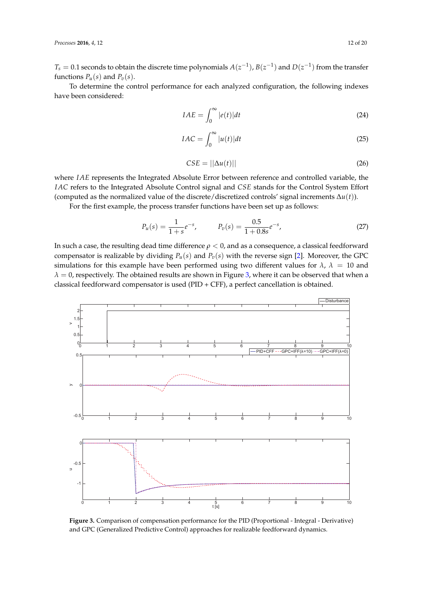$T_s = 0.1$  seconds to obtain the discrete time polynomials  $A(z^{-1})$ ,  $B(z^{-1})$  and  $D(z^{-1})$  from the transfer functions  $P_u(s)$  and  $P_v(s)$ .

To determine the control performance for each analyzed configuration, the following indexes have been considered:

$$
IAE = \int_0^\infty |e(t)| dt \tag{24}
$$

$$
IAC = \int_0^\infty |u(t)|dt
$$
 (25)

<span id="page-11-0"></span>
$$
CSE = ||\Delta u(t)|| \tag{26}
$$

where *IAE* represents the Integrated Absolute Error between reference and controlled variable, the *IAC* refers to the Integrated Absolute Control signal and *CSE* stands for the Control System Effort (computed as the normalized value of the discrete/discretized controls' signal increments ∆*u*(*t*)).

For the first example, the process transfer functions have been set up as follows:

$$
P_u(s) = \frac{1}{1+s}e^{-s}, \qquad P_v(s) = \frac{0.5}{1+0.8s}e^{-s}, \tag{27}
$$

In such a case, the resulting dead time difference *ρ* < 0, and as a consequence, a classical feedforward compensator is realizable by dividing  $P_u(s)$  and  $P_v(s)$  with the reverse sign [\[2\]](#page-18-1). Moreover, the GPC simulations for this example have been performed using two different values for  $\lambda$ ,  $\lambda = 10$  and  $\lambda = 0$ , respectively. The obtained results are shown in Figure [3,](#page-11-1) where it can be observed that when a classical feedforward compensator is used (PID + CFF), a perfect cancellation is obtained.

<span id="page-11-1"></span>

**Figure 3.** Comparison of compensation performance for the PID (Proportional - Integral - Derivative) and GPC (Generalized Predictive Control) approaches for realizable feedforward dynamics.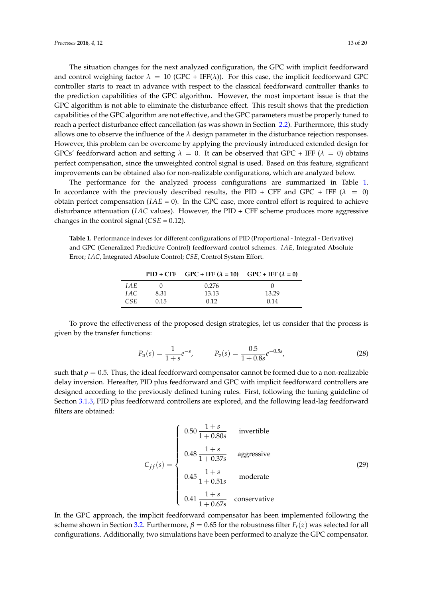GPC algorithm is not able to eliminate the disturbance effect. This result shows that the prediction capabilities of the GPC algorithm are not effective, and the GPC parameters must be properly tuned to reach a perfect disturbance effect cancellation (as was shown in Section [2.2\)](#page-3-2). Furthermore, this study allows one to observe the influence of the *λ* design parameter in the disturbance rejection responses. However, this problem can be overcome by applying the previously introduced extended design for GPCs' feedforward action and setting  $\lambda = 0$ . It can be observed that GPC + IFF ( $\lambda = 0$ ) obtains perfect compensation, since the unweighted control signal is used. Based on this feature, significant improvements can be obtained also for non-realizable configurations, which are analyzed below.

The performance for the analyzed process configurations are summarized in Table [1.](#page-12-0) In accordance with the previously described results, the PID + CFF and GPC + IFF  $(\lambda = 0)$ obtain perfect compensation  $(IAE = 0)$ . In the GPC case, more control effort is required to achieve disturbance attenuation (*IAC* values). However, the PID + CFF scheme produces more aggressive changes in the control signal (*CSE* = 0.12).

<span id="page-12-0"></span>**Table 1.** Performance indexes for different configurations of PID (Proportional - Integral - Derivative) and GPC (Generalized Predictive Control) feedforward control schemes. *IAE*, Integrated Absolute Error; *IAC*, Integrated Absolute Control; *CSE*, Control System Effort.

|       |      | $PID + CFF$ $GPC + IFF (\lambda = 10)$ $GPC + IFF (\lambda = 0)$ |       |
|-------|------|------------------------------------------------------------------|-------|
| I A E |      | 0.276                                                            |       |
| I A C | 8.31 | 13.13                                                            | 13.29 |
| CSE.  | 0.15 | 0.12                                                             | 0.14  |

To prove the effectiveness of the proposed design strategies, let us consider that the process is given by the transfer functions:

$$
P_u(s) = \frac{1}{1+s}e^{-s}, \qquad P_v(s) = \frac{0.5}{1+0.8s}e^{-0.5s}, \qquad (28)
$$

such that  $\rho = 0.5$ . Thus, the ideal feedforward compensator cannot be formed due to a non-realizable delay inversion. Hereafter, PID plus feedforward and GPC with implicit feedforward controllers are designed according to the previously defined tuning rules. First, following the tuning guideline of Section [3.1.3,](#page-8-1) PID plus feedforward controllers are explored, and the following lead-lag feedforward filters are obtained:

$$
C_{ff}(s) = \begin{cases} 0.50 \frac{1+s}{1+0.80s} & \text{invertible} \\ 0.48 \frac{1+s}{1+0.37s} & \text{aggressive} \\ 0.45 \frac{1+s}{1+0.51s} & \text{moderate} \\ 0.41 \frac{1+s}{1+0.67s} & \text{conservative} \end{cases}
$$
(29)

In the GPC approach, the implicit feedforward compensator has been implemented following the scheme shown in Section [3.2.](#page-8-2) Furthermore,  $\beta = 0.65$  for the robustness filter  $F_r(z)$  was selected for all configurations. Additionally, two simulations have been performed to analyze the GPC compensator.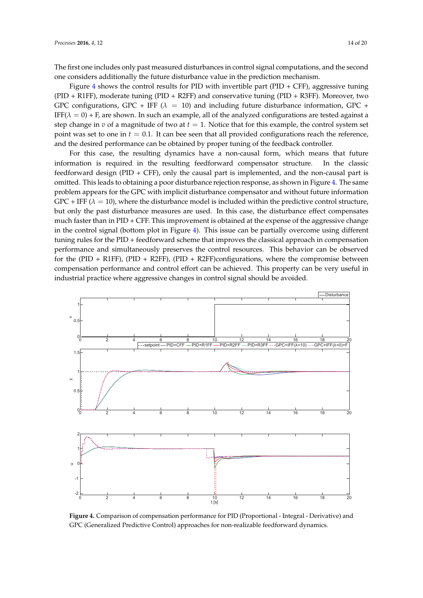The first one includes only past measured disturbances in control signal computations, and the second one considers additionally the future disturbance value in the prediction mechanism.

Figure [4](#page-13-0) shows the control results for PID with invertible part (PID + CFF), aggressive tuning (PID + R1FF), moderate tuning (PID + R2FF) and conservative tuning (PID + R3FF). Moreover, two GPC configurations, GPC + IFF ( $\lambda$  = 10) and including future disturbance information, GPC + IFF( $\lambda = 0$ ) + F, are shown. In such an example, all of the analyzed configurations are tested against a step change in *v* of a magnitude of two at  $t = 1$ . Notice that for this example, the control system set point was set to one in  $t = 0.1$ . It can bee seen that all provided configurations reach the reference, and the desired performance can be obtained by proper tuning of the feedback controller.

For this case, the resulting dynamics have a non-causal form, which means that future information is required in the resulting feedforward compensator structure. In the classic feedforward design (PID + CFF), only the causal part is implemented, and the non-causal part is omitted. This leads to obtaining a poor disturbance rejection response, as shown in Figure [4.](#page-13-0) The same problem appears for the GPC with implicit disturbance compensator and without future information  $GPC + IFF (\lambda = 10)$ , where the disturbance model is included within the predictive control structure, but only the past disturbance measures are used. In this case, the disturbance effect compensates much faster than in PID + CFF. This improvement is obtained at the expense of the aggressive change in the control signal (bottom plot in Figure [4\)](#page-13-0). This issue can be partially overcome using different tuning rules for the PID + feedforward scheme that improves the classical approach in compensation performance and simultaneously preserves the control resources. This behavior can be observed for the (PID + R1FF), (PID + R2FF), (PID + R2FF)configurations, where the compromise between compensation performance and control effort can be achieved. This property can be very useful in industrial practice where aggressive changes in control signal should be avoided.

<span id="page-13-0"></span>

**Figure 4.** Comparison of compensation performance for PID (Proportional - Integral - Derivative) and GPC (Generalized Predictive Control) approaches for non-realizable feedforward dynamics.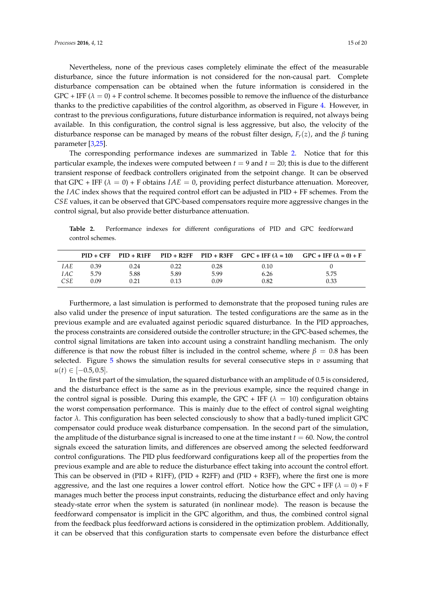Nevertheless, none of the previous cases completely eliminate the effect of the measurable disturbance, since the future information is not considered for the non-causal part. Complete disturbance compensation can be obtained when the future information is considered in the  $GPC + IFF (\lambda = 0) + F$  control scheme. It becomes possible to remove the influence of the disturbance thanks to the predictive capabilities of the control algorithm, as observed in Figure [4.](#page-13-0) However, in contrast to the previous configurations, future disturbance information is required, not always being available. In this configuration, the control signal is less aggressive, but also, the velocity of the disturbance response can be managed by means of the robust filter design, *Fr*(*z*), and the *β* tuning parameter [\[3,](#page-18-2)[25\]](#page-19-9).

The corresponding performance indexes are summarized in Table [2.](#page-14-0) Notice that for this particular example, the indexes were computed between  $t = 9$  and  $t = 20$ ; this is due to the different transient response of feedback controllers originated from the setpoint change. It can be observed that GPC + IFF  $(\lambda = 0)$  + F obtains  $IAE = 0$ , providing perfect disturbance attenuation. Moreover, the *IAC* index shows that the required control effort can be adjusted in PID + FF schemes. From the *CSE* values, it can be observed that GPC-based compensators require more aggressive changes in the control signal, but also provide better disturbance attenuation.

<span id="page-14-0"></span>**Table 2.** Performance indexes for different configurations of PID and GPC feedforward control schemes.

|     |      |      |      |      |      | $PID + CFF$ PID + R1FF PID + R2FF PID + R3FF GPC + IFF ( $\lambda = 10$ ) GPC + IFF ( $\lambda = 0$ ) + F |
|-----|------|------|------|------|------|-----------------------------------------------------------------------------------------------------------|
| IAE | 0.39 | 0.24 | 0.22 | 0.28 | 0.10 |                                                                                                           |
| IAC | 5.79 | 5.88 | 5.89 | 5.99 | 6.26 | 5.75                                                                                                      |
| CSE | 0.09 | 0.21 | 0.13 | 0.09 | 0.82 | 0.33                                                                                                      |

Furthermore, a last simulation is performed to demonstrate that the proposed tuning rules are also valid under the presence of input saturation. The tested configurations are the same as in the previous example and are evaluated against periodic squared disturbance. In the PID approaches, the process constraints are considered outside the controller structure; in the GPC-based schemes, the control signal limitations are taken into account using a constraint handling mechanism. The only difference is that now the robust filter is included in the control scheme, where  $\beta = 0.8$  has been selected. Figure [5](#page-15-0) shows the simulation results for several consecutive steps in  $v$  assuming that  $u(t) \in [-0.5, 0.5]$ .

In the first part of the simulation, the squared disturbance with an amplitude of 0.5 is considered, and the disturbance effect is the same as in the previous example, since the required change in the control signal is possible. During this example, the GPC + IFF ( $\lambda = 10$ ) configuration obtains the worst compensation performance. This is mainly due to the effect of control signal weighting factor *λ*. This configuration has been selected consciously to show that a badly-tuned implicit GPC compensator could produce weak disturbance compensation. In the second part of the simulation, the amplitude of the disturbance signal is increased to one at the time instant  $t = 60$ . Now, the control signals exceed the saturation limits, and differences are observed among the selected feedforward control configurations. The PID plus feedforward configurations keep all of the properties from the previous example and are able to reduce the disturbance effect taking into account the control effort. This can be observed in  $(PID + R1FF)$ ,  $(PID + R2FF)$  and  $(PID + R3FF)$ , where the first one is more aggressive, and the last one requires a lower control effort. Notice how the GPC + IFF  $(\lambda = 0)$  + F manages much better the process input constraints, reducing the disturbance effect and only having steady-state error when the system is saturated (in nonlinear mode). The reason is because the feedforward compensator is implicit in the GPC algorithm, and thus, the combined control signal from the feedback plus feedforward actions is considered in the optimization problem. Additionally, it can be observed that this configuration starts to compensate even before the disturbance effect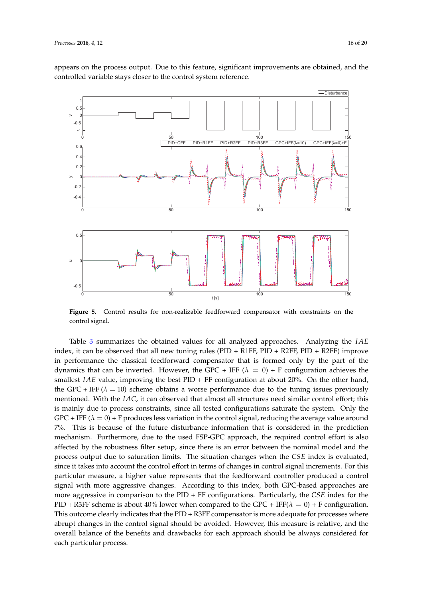controlled variable stays closer to the control system reference.

appears on the process output. Due to this feature, significant improvements are obtained, and the

<span id="page-15-0"></span>

**Figure 5.** Control results for non-realizable feedforward compensator with constraints on the control signal.

Table [3](#page-16-1) summarizes the obtained values for all analyzed approaches. Analyzing the *IAE* index, it can be observed that all new tuning rules (PID + R1FF, PID + R2FF, PID + R2FF) improve in performance the classical feedforward compensator that is formed only by the part of the dynamics that can be inverted. However, the GPC + IFF  $(\lambda = 0)$  + F configuration achieves the smallest *IAE* value, improving the best PID + FF configuration at about 20%. On the other hand, the GPC + IFF ( $\lambda = 10$ ) scheme obtains a worse performance due to the tuning issues previously mentioned. With the *IAC*, it can observed that almost all structures need similar control effort; this is mainly due to process constraints, since all tested configurations saturate the system. Only the GPC + IFF  $(\lambda = 0)$  + F produces less variation in the control signal, reducing the average value around 7%. This is because of the future disturbance information that is considered in the prediction mechanism. Furthermore, due to the used FSP-GPC approach, the required control effort is also affected by the robustness filter setup, since there is an error between the nominal model and the process output due to saturation limits. The situation changes when the *CSE* index is evaluated, since it takes into account the control effort in terms of changes in control signal increments. For this particular measure, a higher value represents that the feedforward controller produced a control signal with more aggressive changes. According to this index, both GPC-based approaches are more aggressive in comparison to the PID + FF configurations. Particularly, the *CSE* index for the PID + R3FF scheme is about 40% lower when compared to the GPC + IFF( $\lambda = 0$ ) + F configuration. This outcome clearly indicates that the PID + R3FF compensator is more adequate for processes where abrupt changes in the control signal should be avoided. However, this measure is relative, and the overall balance of the benefits and drawbacks for each approach should be always considered for each particular process.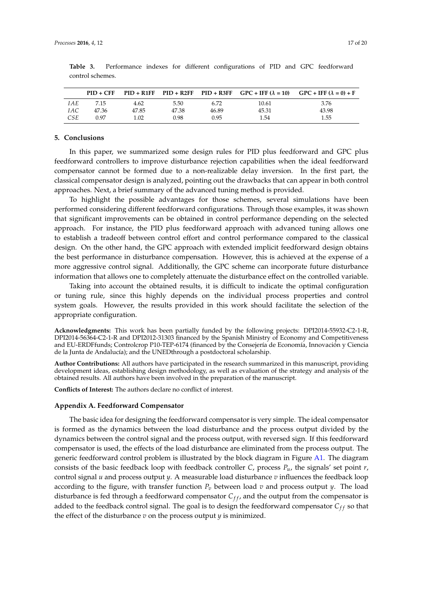|            |       |       |       |       |       | $PID + CFF$ $PID + R1FF$ $PID + R2FF$ $PID + R3FF$ $GPC + IFF (\lambda = 10)$ $GPC + IFF (\lambda = 0) + F$ |
|------------|-------|-------|-------|-------|-------|-------------------------------------------------------------------------------------------------------------|
| <i>IAE</i> | 7.15  | 4.62  | 5.50  | 6.72  | 10.61 | 3.76                                                                                                        |
| <i>IAC</i> | 47.36 | 47.85 | 47.38 | 46.89 | 45.31 | 43.98                                                                                                       |
| CSE        | 0.97  | 1.02  | 0.98  | 0.95  | 1.54  | 1.55                                                                                                        |

<span id="page-16-1"></span>**Table 3.** Performance indexes for different configurations of PID and GPC feedforward control schemes.

## **5. Conclusions**

In this paper, we summarized some design rules for PID plus feedforward and GPC plus feedforward controllers to improve disturbance rejection capabilities when the ideal feedforward compensator cannot be formed due to a non-realizable delay inversion. In the first part, the classical compensator design is analyzed, pointing out the drawbacks that can appear in both control approaches. Next, a brief summary of the advanced tuning method is provided.

To highlight the possible advantages for those schemes, several simulations have been performed considering different feedforward configurations. Through those examples, it was shown that significant improvements can be obtained in control performance depending on the selected approach. For instance, the PID plus feedforward approach with advanced tuning allows one to establish a tradeoff between control effort and control performance compared to the classical design. On the other hand, the GPC approach with extended implicit feedforward design obtains the best performance in disturbance compensation. However, this is achieved at the expense of a more aggressive control signal. Additionally, the GPC scheme can incorporate future disturbance information that allows one to completely attenuate the disturbance effect on the controlled variable.

Taking into account the obtained results, it is difficult to indicate the optimal configuration or tuning rule, since this highly depends on the individual process properties and control system goals. However, the results provided in this work should facilitate the selection of the appropriate configuration.

**Acknowledgments:** This work has been partially funded by the following projects: DPI2014-55932-C2-1-R, DPI2014-56364-C2-1-R and DPI2012-31303 financed by the Spanish Ministry of Economy and Competitiveness and EU-ERDFfunds; Controlcrop P10-TEP-6174 (financed by the Consejería de Economía, Innovación y Ciencia de la Junta de Andalucía); and the UNEDthrough a postdoctoral scholarship.

**Author Contributions:** All authors have participated in the research summarized in this manuscript, providing development ideas, establishing design methodology, as well as evaluation of the strategy and analysis of the obtained results. All authors have been involved in the preparation of the manuscript.

**Conflicts of Interest:** The authors declare no conflict of interest.

### <span id="page-16-0"></span>**Appendix A. Feedforward Compensator**

The basic idea for designing the feedforward compensator is very simple. The ideal compensator is formed as the dynamics between the load disturbance and the process output divided by the dynamics between the control signal and the process output, with reversed sign. If this feedforward compensator is used, the effects of the load disturbance are eliminated from the process output. The generic feedforward control problem is illustrated by the block diagram in Figure [A1.](#page-6-1) The diagram consists of the basic feedback loop with feedback controller *C*, process  $P_u$ , the signals' set point *r*, control signal *u* and process output *y*. A measurable load disturbance *v* influences the feedback loop according to the figure, with transfer function  $P_v$  between load  $v$  and process output  $y$ . The load disturbance is fed through a feedforward compensator  $C_{ff}$ , and the output from the compensator is added to the feedback control signal. The goal is to design the feedforward compensator  $C_{ff}$  so that the effect of the disturbance *v* on the process output *y* is minimized.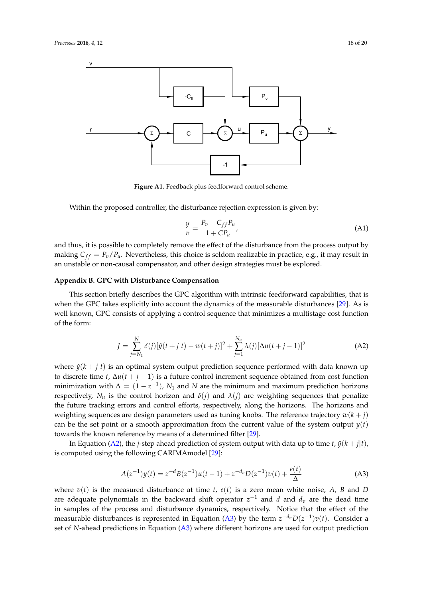

**Figure A1.** Feedback plus feedforward control scheme.

Within the proposed controller, the disturbance rejection expression is given by:

$$
\frac{y}{v} = \frac{P_v - C_{ff}P_u}{1 + CP_u},\tag{A1}
$$

and thus, it is possible to completely remove the effect of the disturbance from the process output by making  $C_{ff} = P_v/P_u$ . Nevertheless, this choice is seldom realizable in practice, e.g., it may result in an unstable or non-causal compensator, and other design strategies must be explored.

## <span id="page-17-0"></span>**Appendix B. GPC with Disturbance Compensation**

This section briefly describes the GPC algorithm with intrinsic feedforward capabilities, that is when the GPC takes explicitly into account the dynamics of the measurable disturbances [\[29\]](#page-19-13). As is well known, GPC consists of applying a control sequence that minimizes a multistage cost function of the form:

<span id="page-17-2"></span>
$$
J = \sum_{j=N_1}^{N} \delta(j) [\hat{y}(t+j|t) - w(t+j)]^2 + \sum_{j=1}^{N_u} \lambda(j) [\Delta u(t+j-1)]^2
$$
 (A2)

where  $\hat{y}(k + j|t)$  is an optimal system output prediction sequence performed with data known up to discrete time *t*,  $\Delta u(t + j - 1)$  is a future control increment sequence obtained from cost function minimization with  $\Delta = (1 - z^{-1})$ ,  $N_1$  and  $N$  are the minimum and maximum prediction horizons respectively,  $N_u$  is the control horizon and  $\delta(j)$  and  $\lambda(j)$  are weighting sequences that penalize the future tracking errors and control efforts, respectively, along the horizons. The horizons and weighting sequences are design parameters used as tuning knobs. The reference trajectory  $w(k + j)$ can be the set point or a smooth approximation from the current value of the system output  $y(t)$ towards the known reference by means of a determined filter [\[29\]](#page-19-13).

In Equation [\(A2\)](#page-17-2), the *j*-step ahead prediction of system output with data up to time *t*,  $\hat{y}(k + j|t)$ , is computed using the following CARIMAmodel [\[29\]](#page-19-13):

<span id="page-17-1"></span>
$$
A(z^{-1})y(t) = z^{-d}B(z^{-1})u(t-1) + z^{-d_v}D(z^{-1})v(t) + \frac{e(t)}{\Delta}
$$
 (A3)

where  $v(t)$  is the measured disturbance at time *t*,  $e(t)$  is a zero mean white noise, *A*, *B* and *D* are adequate polynomials in the backward shift operator  $z^{-1}$  and *d* and *d*<sub>*v*</sub> are the dead time in samples of the process and disturbance dynamics, respectively. Notice that the effect of the measurable disturbances is represented in Equation [\(A3\)](#page-17-1) by the term  $z^{-d_v}D(z^{-1})v(t)$ . Consider a set of *N*-ahead predictions in Equation [\(A3\)](#page-17-1) where different horizons are used for output prediction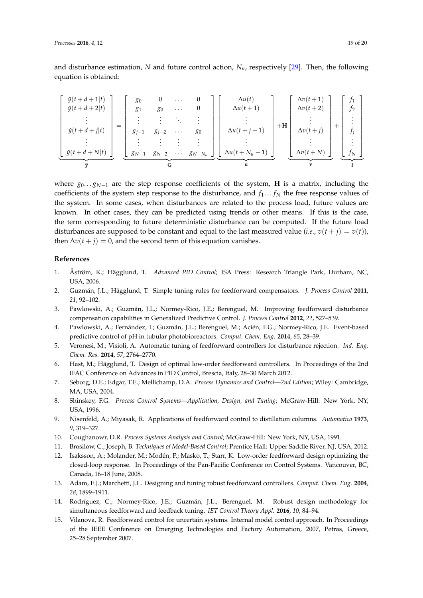and disturbance estimation, *N* and future control action, *Nu*, respectively [\[29\]](#page-19-13). Then, the following equation is obtained:

| $\hat{y}(t + d + 1 t)$<br>$\hat{y}(t + d + 2 t)$ | 80<br>81  | 0<br>80   | $\cdots$<br>$\cdots$ |                      | $\Delta u(t)$<br>$\Delta u(t+1)$ |      | $\Delta v(t+1)$<br>$\Delta v(t+2)$ | $f_1$<br>Ť2 |  |
|--------------------------------------------------|-----------|-----------|----------------------|----------------------|----------------------------------|------|------------------------------------|-------------|--|
| $=$<br>$\hat{y}(t+d+j t)$                        | $g_{i-1}$ | $g_{i-2}$ | $\cdots$             | 80                   | $\Delta u(t+j-1)$                | $+H$ | $\Delta v(t+j)$                    | $f_i$       |  |
| $\hat{y}(t+d+N t)$                               | $g_{N-1}$ | $g_{N-2}$ |                      | $\cdots$ $g_{N-N_u}$ | $\Delta u(t+N_u-1)$              |      | $\Delta v(t+N)$                    | $f_N$       |  |
|                                                  |           | G         |                      |                      |                                  |      | $\mathbf{v}$                       |             |  |

where  $g_0 \nvert g_0 \nvert g_1$  are the step response coefficients of the system, **H** is a matrix, including the coefficients of the system step response to the disturbance, and  $f_1 \dots f_N$  the free response values of the system. In some cases, when disturbances are related to the process load, future values are known. In other cases, they can be predicted using trends or other means. If this is the case, the term corresponding to future deterministic disturbance can be computed. If the future load disturbances are supposed to be constant and equal to the last measured value (*i.e.*,  $v(t + j) = v(t)$ ), then  $\Delta v(t + j) = 0$ , and the second term of this equation vanishes.

#### **References**

- <span id="page-18-0"></span>1. Åström, K.; Hägglund, T. *Advanced PID Control*; ISA Press: Research Triangle Park, Durham, NC, USA, 2006.
- <span id="page-18-1"></span>2. Guzmán, J.L.; Hägglund, T. Simple tuning rules for feedforward compensators. *J. Process Control* **2011**, *21*, 92–102.
- <span id="page-18-2"></span>3. Pawlowski, A.; Guzmán, J.L.; Normey-Rico, J.E.; Berenguel, M. Improving feedforward disturbance compensation capabilities in Generalized Predictive Control. *J. Process Control* **2012**, *22*, 527–539.
- <span id="page-18-3"></span>4. Pawlowski, A.; Fernández, I.; Guzmán, J.L.; Berenguel, M.; Acién, F.G.; Normey-Rico, J.E. Event-based predictive control of pH in tubular photobioreactors. *Comput. Chem. Eng.* **2014**, *65*, 28–39.
- <span id="page-18-4"></span>5. Veronesi, M.; Visioli, A. Automatic tuning of feedforward controllers for disturbance rejection. *Ind. Eng. Chem. Res.* **2014**, *57*, 2764–2770.
- <span id="page-18-5"></span>6. Hast, M.; Hägglund, T. Design of optimal low-order feedforward controllers. In Proceedings of the 2nd IFAC Conference on Advances in PID Control, Brescia, Italy, 28–30 March 2012.
- <span id="page-18-6"></span>7. Seborg, D.E.; Edgar, T.E.; Mellichamp, D.A. *Process Dynamics and Control—2nd Edition*; Wiley: Cambridge, MA, USA, 2004.
- <span id="page-18-7"></span>8. Shinskey, F.G. *Process Control Systems—Application, Design, and Tuning*; McGraw-Hill: New York, NY, USA, 1996.
- <span id="page-18-8"></span>9. Nisenfeld, A.; Miyasak, R. Applications of feedforward control to distillation columns. *Automatica* **1973**, *9*, 319–327.
- <span id="page-18-9"></span>10. Coughanowr, D.R. *Process Systems Analysis and Control*; McGraw-Hill: New York, NY, USA, 1991.
- <span id="page-18-10"></span>11. Brosilow, C.; Joseph, B. *Techniques of Model-Based Control*; Prentice Hall: Upper Saddle River, NJ, USA, 2012.
- <span id="page-18-11"></span>12. Isaksson, A.; Molander, M.; Modén, P.; Masko, T.; Starr, K. Low-order feedforward design optimizing the closed-loop response. In Proceedings of the Pan-Pacific Conference on Control Systems. Vancouver, BC, Canada, 16–18 June, 2008.
- <span id="page-18-12"></span>13. Adam, E.J.; Marchetti, J.L. Designing and tuning robust feedforward controllers. *Comput. Chem. Eng.* **2004**, *28*, 1899–1911.
- <span id="page-18-13"></span>14. Rodríguez, C.; Normey-Rico, J.E.; Guzmán, J.L.; Berenguel, M. Robust design methodology for simultaneous feedforward and feedback tuning. *IET Control Theory Appl.* **2016**, *10*, 84–94.
- <span id="page-18-14"></span>15. Vilanova, R. Feedforward control for uncertain systems. Internal model control approach. In Proceedings of the IEEE Conference on Emerging Technologies and Factory Automation, 2007, Petras, Greece, 25–28 September 2007.